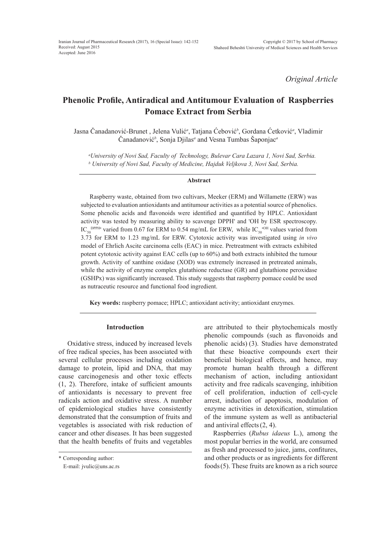*Original Article*

# **Phenolic Profile, Antiradical and Antitumour Evaluation of Raspberries Pomace Extract from Serbia**

Jasna Čanadanović-Brunet , Jelena Vulić*<sup>a</sup>* , Tatjana Ćebović*<sup>b</sup>* , Gordana Ćetković*<sup>a</sup>* , Vladimir Čanadanović*<sup>b</sup>* , Sonja Djilas*<sup>a</sup>* and Vesna Tumbas Šaponjac*<sup>a</sup>*

*a University of Novi Sad, Faculty of Technology, Bulevar Cara Lazara 1, Novi Sad, Serbia. b University of Novi Sad, Faculty of Medicine, Hajduk Veljkova 3, Novi Sad, Serbia.*

#### **Abstract**

Raspberry waste, obtained from two cultivars, Meeker (ERM) and Willamette (ERW) was subjected to evaluation antioxidants and antitumour activities as a potential source of phenolics. Some phenolic acids and flavonoids were identified and quantified by HPLC. Antioxidant activity was tested by measuring ability to scavenge DPPH<sup>•</sup> and <sup>•</sup>OH by ESR spectroscopy. IC<sub>50</sub><sup>DPPH•</sup> varied from 0.67 for ERM to 0.54 mg/mL for ERW, while IC<sub>50</sub><sup>•OH</sup> values varied from 3.73 for ERM to 1.23 mg/mL for ERW. Cytotoxic activity was investigated using *in vivo* model of Ehrlich Ascite carcinoma cells (EAC) in mice. Pretreatment with extracts exhibited potent cytotoxic activity against EAC cells (up to 60%) and both extracts inhibited the tumour growth. Activity of xanthine oxidase (XOD) was extremely increased in pretreated animals, while the activity of enzyme complex glutathione reductase (GR) and glutathione peroxidase (GSHPx) was significantly increased. This study suggests that raspberry pomace could be used as nutraceutic resource and functional food ingredient.

**Key words:** raspberry pomace; HPLC; antioxidant activity; antioxidant enzymes.

## **Introduction**

Oxidative stress, induced by increased levels of free radical species, has been associated with several cellular processes including oxidation damage to protein, lipid and DNA, that may cause carcinogenesis and other toxic effects (1, 2). Therefore, intake of sufficient amounts of antioxidants is necessary to prevent free radicals action and oxidative stress. A number of epidemiological studies have consistently demonstrated that the consumption of fruits and vegetables is associated with risk reduction of cancer and other diseases. It has been suggested that the health benefits of fruits and vegetables

are attributed to their phytochemicals mostly phenolic compounds (such as flavonoids and phenolic acids) (3). Studies have demonstrated that these bioactive compounds exert their beneficial biological effects, and hence, may promote human health through a different mechanism of action, including antioxidant activity and free radicals scavenging, inhibition of cell proliferation, induction of cell-cycle arrest, induction of apoptosis, modulation of enzyme activities in detoxification, stimulation of the immune system as well as antibacterial and antiviral effects(2, 4).

Raspberries (*Rubus idaeus* L.), among the most popular berries in the world, are consumed as fresh and processed to juice, jams, confitures, and other products or as ingredients for different foods(5). These fruits are known as a rich source

<sup>\*</sup> Corresponding author:

E-mail: jvulic@uns.ac.rs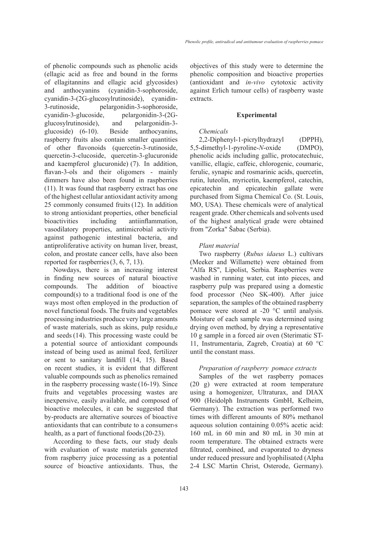of phenolic compounds such as phenolic acids (ellagic acid as free and bound in the forms of ellagitannins and ellagic acid glycosides) and anthocyanins (cyanidin-3-sophoroside, cyanidin-3-(2G-glucosylrutinoside), cyanidin-3-rutinoside, pelargonidin-3-sophoroside, cyanidin-3-glucoside, pelargonidin-3-(2Gglucosylrutinoside), and pelargonidin-3 glucoside) (6-10). Beside anthocyanins, raspberry fruits also contain smaller quantities of other flavonoids (quercetin-3-rutinoside, quercetin-3-clucoside, quercetin-3-glucuronide and kaempferol glucuronide) (7). In addition, flavan-3-ols and their oligomers - mainly dimmers have also been found in raspberries (11). It was found that raspberry extract has one of the highest cellular antioxidant activity among 25 commonly consumed fruits(12). In addition to strong antioxidant properties, other beneficial bioactivities including antiinflammation, vasodilatory properties, antimicrobial activity against pathogenic intestinal bacteria, and antiproliferative activity on human liver, breast, colon, and prostate cancer cells, have also been reported for raspberries(3, 6, 7, 13).

Nowdays, there is an increasing interest in finding new sources of natural bioactive compounds. The addition of bioactive compound(s) to a traditional food is one of the ways most often employed in the production of novel functional foods. The fruits and vegetables processing industries produce very large amounts of waste materials, such as skins, pulp residu,e and seeds (14). This processing waste could be a potential source of antioxidant compounds instead of being used as animal feed, fertilizer or sent to sanitary landfill (14, 15). Based on recent studies, it is evident that different valuable compounds such as phenolics remained in the raspberry processing waste (16-19). Since fruits and vegetables processing wastes are inexpensive, easily available, and composed of bioactive molecules, it can be suggested that by-products are alternative sources of bioactive antioxidants that can contribute to a consumer›s health, as a part of functional foods(20-23).

According to these facts, our study deals with evaluation of waste materials generated from raspberry juice processing as a potential source of bioactive antioxidants. Thus, the objectives of this study were to determine the phenolic composition and bioactive properties (antioxidant and *in-vivo* cytotoxic activity against Erlich tumour cells) of raspberry waste extracts.

## **Experimental**

# *Chemicals*

2,2-Diphenyl-1-picrylhydrazyl (DPPH), 5,5-dimethyl-1-pyroline-*N*-oxide (DMPO), phenolic acids including gallic, protocatechuic, vanillic, ellagic, caffeic, chlorogenic, coumaric, ferulic, synapic and rosmarinic acids, quercetin, rutin, luteolin, myricetin, kaempferol, catechin, epicatechin and epicatechin gallate were purchased from Sigma Chemical Co. (St. Louis, MO, USA). These chemicals were of analytical reagent grade. Other chemicals and solvents used of the highest analytical grade were obtained from "Zorka" Šabac (Serbia).

# *Plant material*

Two raspberry (*Rubus idaeus* L.) cultivars (Meeker and Willamette) were obtained from "Alfa RS", Lipolist, Serbia. Raspberries were washed in running water, cut into pieces, and raspberry pulp was prepared using a domestic food processor (Neo SK-400). After juice separation, the samples of the obtained raspberry pomace were stored at -20 °C until analysis. Moisture of each sample was determined using drying oven method, by drying a representative 10 g sample in a forced air oven (Sterimatic ST-11, Instrumentaria, Zagreb, Croatia) at 60 °C until the constant mass.

# *Preparation of raspberry pomace extracts*

Samples of the wet raspberry pomaces (20 g) were extracted at room temperature using a homogenizer, Ultraturax, and DIAX 900 (Heidolph Instruments GmbH, Kelheim, Germany). The extraction was performed two times with different amounts of 80% methanol aqueous solution containing 0.05% acetic acid: 160 mL in 60 min and 80 mL in 30 min at room temperature. The obtained extracts were filtrated, combined, and evaporated to dryness under reduced pressure and lyophilisated (Alpha 2-4 LSC Martin Christ, Osterode, Germany).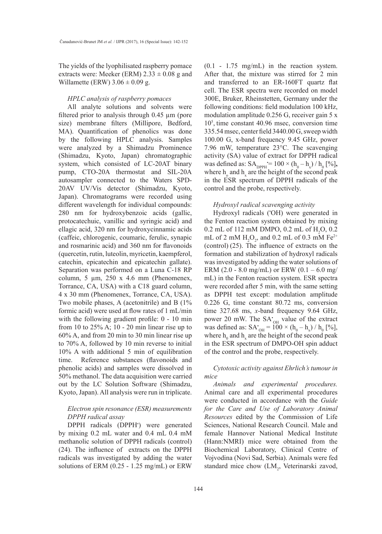The yields of the lyophilisated raspberry pomace extracts were: Meeker (ERM)  $2.33 \pm 0.08$  g and Willamette (ERW)  $3.06 \pm 0.09$  g.

## *HPLC analysis of raspberry pomaces*

All analyte solutions and solvents were filtered prior to analysis through 0.45 µm (pore size) membrane filters (Millipore, Bedford, MA). Quantification of phenolics was done by the following HPLC analysis. Samples were analyzed by a Shimadzu Prominence (Shimadzu, Kyoto, Japan) chromatographic system, which consisted of LC-20AT binary pump, CTO-20A thermostat and SIL-20A autosampler connected to the Waters SPD-20AV UV/Vis detector (Shimadzu, Kyoto, Japan). Chromatograms were recorded using different wavelength for individual compounds: 280 nm for hydroxybenzoic acids (gallic, protocatechuic, vanillic and syringic acid) and ellagic acid, 320 nm for hydroxycinnamic acids (caffeic, chlorogenic, coumaric, ferulic, synapic and rosmarinic acid) and 360 nm for flavonoids (quercetin, rutin, luteolin, myricetin, kaempferol, catechin, epicatechin and epicatechin gallate). Separation was performed on a Luna C-18 RP column,  $5 \mu m$ ,  $250 \times 4.6 \mu m$  (Phenomenex, Torrance, CA, USA) with a C18 guard column, 4 x 30 mm (Phenomenex, Torrance, CA, USA). Two mobile phases, A (acetonitrile) and B (1% formic acid) were used at flow rates of 1 mL/min with the following gradient profile:  $0 - 10$  min from 10 to  $25\%$  A; 10 - 20 min linear rise up to 60% A, and from 20 min to 30 min linear rise up to 70% A, followed by 10 min reverse to initial 10% A with additional 5 min of equilibration time. Reference substances (flavonoids and phenolic acids) and samples were dissolved in 50% methanol. The data acquisition were carried out by the LC Solution Software (Shimadzu, Kyoto, Japan). All analysis were run in triplicate.

# *Electron spin resonance (ESR) measurements DPPH radical assay*

DPPH radicals (DPPH• ) were generated by mixing 0.2 mL water and 0.4 mL 0.4 mM methanolic solution of DPPH radicals (control) (24). The influence of extracts on the DPPH radicals was investigated by adding the water solutions of ERM (0.25 - 1.25 mg/mL) or ERW

(0.1 - 1.75 mg/mL) in the reaction system. After that, the mixture was stirred for 2 min and transferred to an ER-160FT quartz flat cell. The ESR spectra were recorded on model 300E, Bruker, Rheinstetten, Germany under the following conditions: field modulation 100 kHz, modulation amplitude 0.256 G, receiver gain 5 x 10<sup>5</sup> , time constant 40.96 msec, conversion time 335.54 msec, center field 3440.00 G, sweep width 100.00 G, x-band frequency 9.45 GHz, power 7.96 mW, temperature 23°C. The scavenging activity (SA) value of extract for DPPH radical was defined as:  $SA_{DPPH} = 100 \times (h_0 - h_x) / h_0$  [%], where  $h_0$  and  $h_x$  are the height of the second peak in the ESR spectrum of DPPH radicals of the control and the probe, respectively.

## *Hydroxyl radical scavenging activity*

Hydroxyl radicals (• OH) were generated in the Fenton reaction system obtained by mixing 0.2 mL of 112 mM DMPO, 0.2 mL of  $H_2O$ , 0.2 mL of 2 mM  $H_2O_2$ , and 0.2 mL of 0.3 mM Fe<sup>2+</sup> (control) (25). The influence of extracts on the formation and stabilization of hydroxyl radicals was investigated by adding the water solutions of ERM (2.0 - 8.0 mg/mL) or ERW (0.1 – 6.0 mg/ mL) in the Fenton reaction system. ESR spectra were recorded after 5 min, with the same setting as DPPH test except: modulation amplitude 0.226 G, time constant 80.72 ms, conversion time 327.68 ms, *x*-band frequency 9.64 GHz, power 20 mW. The  $SA_{OH}$  value of the extract was defined as:  $SA'_{OH} = 100 \times (h_0 - h_x) / h_0$  [%], where  $h_0$  and  $h_x$  are the height of the second peak in the ESR spectrum of DMPO-OH spin adduct of the control and the probe, respectively.

# *Cytotoxic activity against Ehrlich's tumour in mice*

*Animals and experimental procedures.*  Animal care and all experimental procedures were conducted in accordance with the *Guide for the Care and Use of Laboratory Animal Resources* edited by the Commission of Life Sciences, National Research Council. Male and female Hannover National Medical Institute (Hann:NMRI) mice were obtained from the Biochemical Laboratory, Clinical Centre of Vojvodina (Novi Sad, Serbia). Animals were fed standard mice chow (LM<sub>2</sub>, Veterinarski zavod,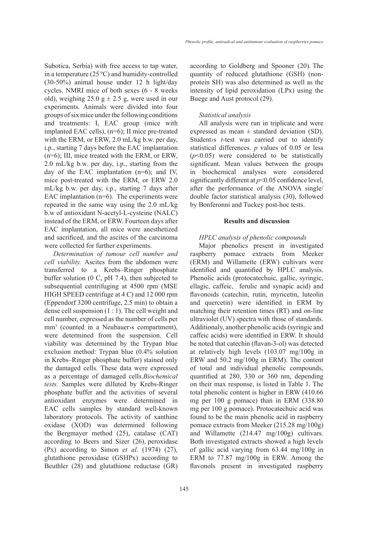Subotica, Serbia) with free access to tap water, in a temperature (25 ºC) and humidity-controlled (30-50%) animal house under 12 h light/day cycles. NMRI mice of both sexes (6 - 8 weeks old), weighing 25.0  $g \pm 2.5$  g, were used in our experiments. Animals were divided into four groups of six mice under the following conditions and treatments: I, EAC group (mice with implanted EAC cells), (n=6); II mice pre-treated with the ERM, or ERW, 2.0 mL/kg b.w. per day, i.p., starting 7 days before the EAC implantation (n=6); III, mice treated with the ERM, or ERW, 2.0 mL/kg b.w. per day, i.p., starting from the day of the EAC implantation (n=6); and IV, mice post-treated with the ERM, or ERW 2.0 mL/kg b.w. per day, i.p., starting 7 days after EAC implantation (n=6). The experiments were repeated in the same way using the 2.0 mL/kg b.w of antioxidant N-acetyl-L-cysteine (NALC) instead of the ERM, or ERW. Fourteen days after EAC implantation, all mice were anesthetized and sacrificed, and the ascites of the carcinoma were collected for further experiments.

*Determination of tumour cell number and cell viability.* Ascites from the abdomen were transferred to a Krebs–Ringer phosphate buffer solution (0 C, pH 7.4), then subjected to subsequential centrifuging at 4500 rpm (MSE HIGH SPEED centrifuge at 4 C) and 12 000 rpm (Eppendorf 3200 centrifuge, 2.5 min) to obtain a dense cell suspension (1 : 1). The cell weight and cell number, expressed as the number of cells per mm<sup>3</sup> (counted in a Neubauer>s compartment), were determined from the suspension. Cell viability was determined by the Trypan blue exclusion method: Trypan blue (0.4% solution in Krebs–Ringer phosphate buffer) stained only the damaged cells. These data were expressed as a percentage of damaged cells.*Biochemical tests.* Samples were dilluted by Krebs-Ringer phosphate buffer and the activities of several antioxidant enzymes were determined in EAC cells samples by standard well-known laboratory protocols. The activity of xanthine oxidase (XOD) was determined following the Bergmayer method (25), catalase (CAT) according to Beers and Sizer (26), peroxidase (Px) according to Simon *et al*. (1974) (27), glutathione peroxidase (GSHPx) according to Beuthler (28) and glutathione reductase (GR) according to Goldberg and Spooner (20). The quantity of reduced glutathione (GSH) (nonprotein SH) was also determined as well as the intensity of lipid peroxidation (LPx) using the Buege and Aust protocol (29).

#### *Statistical analysis*

All analysis were run in triplicate and were expressed as mean  $\pm$  standard deviation (SD). Student›s *t*-test was carried out to identify statistical differences. *p* values of 0.05 or less (*p*<0.05) were considered to be statistically significant. Mean values between the groups in biochemical analyses were considered significantly different at *p*<0.05 confidence level, after the performance of the ANOVA single/ double factor statistical analysis (30), followed by Bonferonni and Tuckey post-hoc tests.

#### **Results and discussion**

### *HPLC analysis of phenolic compounds*

Major phenolics present in investigated raspberry pomace extracts from Meeker (ERM) and Willamette (ERW) cultivars were identified and quantified by HPLC analysis. Phenolic acids (protocatechuic, gallic, syringic, ellagic, caffeic, ferulic and synapic acid) and flavonoids (catechin, rutin, myricetin, luteolin and quercetin) were identified in ERM by matching their retention times (RT) and on-line ultraviolet (UV) spectra with those of standards. Additionaly, another phenolic acids (syringic and caffeic acids) were identified in ERW. It should be noted that catechin (flavan-3-ol) was detected at relatively high levels (103.07 mg/100g in ERW and 50.2 mg/100g in ERM). The content of total and individual phenolic compounds, quantified at 280, 330 or 360 nm, depending on their max response, is listed in Table 1. The total phenolic content is higher in ERW (410.66 mg per 100 g pomace) than in ERM (338.80 mg per 100 g pomace). Protocatechuic acid was found to be the main phenolic acid in raspberry pomace extracts from Meeker (215.28 mg/100g) and Willamette (214.47 mg/100g) cultivars. Both investigated extracts showed a high levels of gallic acid varying from 63.44 mg/100g in ERM to 77.87 mg/100g in ERW. Among the flavonols present in investigated raspberry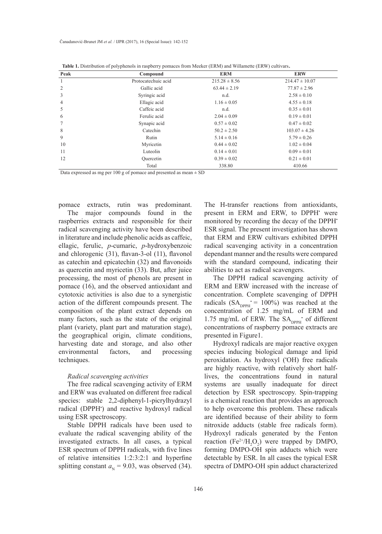| Peak | Compound            | <b>ERM</b>        | <b>ERW</b>         |  |
|------|---------------------|-------------------|--------------------|--|
|      | Protocatechuic acid | $215.28 \pm 8.56$ | $214.47 \pm 10.07$ |  |
| 2    | Gallic acid         | $63.44 \pm 2.19$  | $77.87 \pm 2.96$   |  |
| 3    | Syringic acid       | n.d.              | $2.58 \pm 0.10$    |  |
| 4    | Ellagic acid        | $1.16 \pm 0.05$   | $4.55 \pm 0.18$    |  |
| 5    | Caffeic acid        | n.d.              | $0.35 \pm 0.01$    |  |
| 6    | Ferulic acid        | $2.04 \pm 0.09$   | $0.19 \pm 0.01$    |  |
|      | Synapic acid        | $0.57 \pm 0.02$   | $0.47 \pm 0.02$    |  |
| 8    | Catechin            | $50.2 \pm 2.50$   | $103.07 \pm 4.26$  |  |
| 9    | Rutin               | $5.14 \pm 0.16$   | $5.79 \pm 0.26$    |  |
| 10   | Myricetin           | $0.44 \pm 0.02$   | $1.02 \pm 0.04$    |  |
| 11   | Luteolin            | $0.14 \pm 0.01$   | $0.09 \pm 0.01$    |  |
| 12   | Ouercetin           | $0.39 \pm 0.02$   | $0.21 \pm 0.01$    |  |
|      | Total               | 338.80            | 410.66             |  |

| <b>Table 1.</b> Distribution of polyphenols in raspberry pomaces from Meeker (ERM) and Willamette (ERW) cultivars. |
|--------------------------------------------------------------------------------------------------------------------|
|--------------------------------------------------------------------------------------------------------------------|

Data expressed as mg per 100 g of pomace and presented as mean  $\pm$  SD

pomace extracts, rutin was predominant. The major compounds found in the raspberries extracts and responsible for their radical scavenging activity have been described in literature and include phenolic acids as caffeic, ellagic, ferulic, *p*-cumaric, *p*-hydroxybenzoic and chlorogenic (31), flavan-3-ol (11), flavonol as catechin and epicatechin (32) and flavonoids as quercetin and myricetin (33). But, after juice processing, the most of phenols are present in pomace (16), and the observed antioxidant and cytotoxic activities is also due to a synergistic action of the different compounds present. The composition of the plant extract depends on many factors, such as the state of the original plant (variety, plant part and maturation stage), the geographical origin, climate conditions, harvesting date and storage, and also other environmental factors, and processing techniques.

## *Radical scavenging activities*

The free radical scavenging activity of ERM and ERW was evaluated on different free radical species: stable 2,2-diphenyl-1-picrylhydrazyl radical (DPPH<sup>\*</sup>) and reactive hydroxyl radical using ESR spectroscopy.

Stable DPPH radicals have been used to evaluate the radical scavenging ability of the investigated extracts. In all cases, a typical ESR spectrum of DPPH radicals, with five lines of relative intensities 1:2:3:2:1 and hyperfine splitting constant  $a_N = 9.03$ , was observed (34).

The H-transfer reactions from antioxidants, present in ERM and ERW, to DPPH<sup>•</sup> were monitored by recording the decay of the DPPH• ESR signal. The present investigation has shown that ERM and ERW cultivars exhibited DPPH radical scavenging activity in a concentration dependant manner and the results were compared with the standard compound, indicating their abilities to act as radical scavengers.

The DPPH radical scavenging activity of ERM and ERW increased with the increase of concentration. Complete scavenging of DPPH radicals  $(SA_{DPPH} = 100\%)$  was reached at the concentration of 1.25 mg/mL of ERM and 1.75 mg/mL of ERW. The  $SA<sub>DPPH</sub>$  of different concentrations of raspberry pomace extracts are presented in Figure1.

Hydroxyl radicals are major reactive oxygen species inducing biological damage and lipid peroxidation. As hydroxyl ('OH) free radicals are highly reactive, with relatively short halflives, the concentrations found in natural systems are usually inadequate for direct detection by ESR spectroscopy. Spin-trapping is a chemical reaction that provides an approach to help overcome this problem. These radicals are identified because of their ability to form nitroxide adducts (stable free radicals form). Hydroxyl radicals generated by the Fenton reaction (Fe<sup>2+</sup>/H<sub>2</sub>O<sub>2</sub>) were trapped by DMPO, forming DMPO-OH spin adducts which were detectable by ESR. In all cases the typical ESR spectra of DMPO-OH spin adduct characterized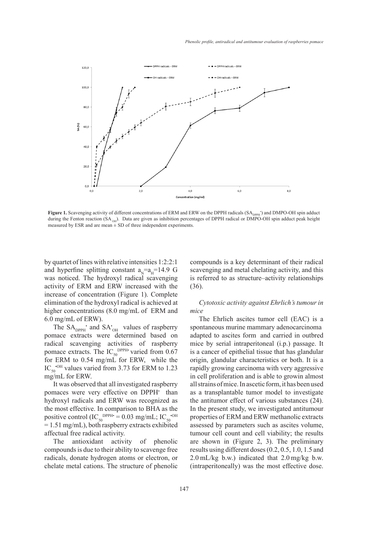

during the Fenton reaction  $(SA<sub>OH</sub>)$ . Data are given as inhibition percentages of DPPH radical or DMPO-OH spin adduct peak height **Figure 1.** Scavenging activity of different concentrations of ERM and ERW on the DPPH radicals (SA<sub>DPPH</sub>) and DMPO-OH spin adduct measured by ESR and are mean  $\pm$  SD of three independent experiments.

by quartet of lines with relative intensities 1:2:2:1 and hyperfine splitting constant  $a_N = a_H = 14.9$  G was noticed. The hydroxyl radical scavenging activity of ERM and ERW increased with the increase of concentration (Figure 1). Complete elimination of the hydroxyl radical is achieved at higher concentrations (8.0 mg/mL of ERM and 6.0 mg/mL of ERW).

The  $SA_{DPPH}$  and  $SA_{OH}$  values of raspberry pomace extracts were determined based on radical scavenging activities of raspberry pomace extracts. The  $IC_{50}^{\text{DPPH}\bullet}$  varied from 0.67 for ERM to 0.54 mg/mL for ERW, while the  $IC_{50}$ <sup>-OH</sup> values varied from 3.73 for ERM to 1.23 mg/mL for ERW.

It was observed that all investigated raspberry pomaces were very effective on DPPH<sup>•</sup> than hydroxyl radicals and ERW was recognized as the most effective. In comparison to BHA as the positive control (IC<sub>50</sub><sup>DPPH•</sup> = 0.03 mg/mL; IC<sub>50</sub><sup>•</sup>OH = 1.51 mg/mL), both raspberry extracts exhibited affectual free radical activity.

The antioxidant activity of phenolic compounds is due to their ability to scavenge free radicals, donate hydrogen atoms or electron, or chelate metal cations. The structure of phenolic compounds is a key determinant of their radical scavenging and metal chelating activity, and this is referred to as structure–activity relationships (36).

*Cytotoxic activity against Ehrlich's tumour in mice*

The Ehrlich ascites tumor cell (EAC) is a spontaneous murine mammary adenocarcinoma adapted to ascites form and carried in outbred mice by serial intraperitoneal (i.p.) passage. It is a cancer of epithelial tissue that has glandular origin, glandular characteristics or both. It is a rapidly growing carcinoma with very aggressive in cell proliferation and is able to growin almost all strains of mice. In ascetic form, it has been used as a transplantable tumor model to investigate the antitumor effect of various substances (24). In the present study, we investigated antitumour properties of ERM and ERW methanolic extracts assessed by parameters such as ascites volume, tumour cell count and cell viability; the results are shown in (Figure 2, 3). The preliminary results using different doses (0.2, 0.5, 1.0, 1.5 and 2.0 mL/kg b.w.) indicated that 2.0 mg/kg b.w. (intraperitoneally) was the most effective dose.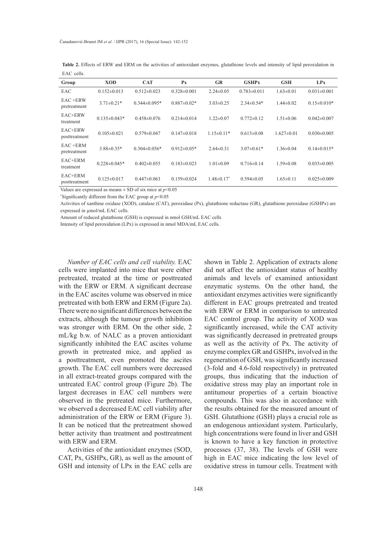| Group                       | XOD                | <b>CAT</b>         | $P_{X}$           | GR                | <b>GSHPx</b>      | <b>GSH</b>       | LPx               |
|-----------------------------|--------------------|--------------------|-------------------|-------------------|-------------------|------------------|-------------------|
| EAC                         | $0.152 \pm 0.013$  | $0.512\pm0.023$    | $0.328 \pm 0.001$ | $2.24 \pm 0.05$   | $0.783 \pm 0.011$ | $1.63 \pm 0.01$  | $0.031 \pm 0.001$ |
| EAC +ERW<br>pretreatment    | $3.71 \pm 0.21*$   | $0.344\pm0.095*$   | $0.887 \pm 0.02*$ | $3.03 \pm 0.25$   | $2.34\pm0.54*$    | $1.44\pm 0.02$   | $0.15 \pm 0.010*$ |
| EAC+ERW<br>treatment        | $0.135 \pm 0.043*$ | $0.458 \pm 0.076$  | $0.214 \pm 0.014$ | $1.22 \pm 0.07$   | $0.772\pm0.12$    | $1.51 \pm 0.06$  | $0.042 \pm 0.007$ |
| EAC+ERW<br>posttreatment    | $0.105 \pm 0.021$  | $0.579 \pm 0.047$  | $0.147\pm0.018$   | $1.15\pm0.11*$    | $0.615 \pm 0.08$  | $1.627 \pm 0.01$ | $0.030 \pm 0.005$ |
| $EAC + ERM$<br>pretreatment | $3.88 \pm 0.35*$   | $0.304 \pm 0.056*$ | $0.912 \pm 0.05*$ | $2.64 \pm 0.31$   | $3.07\pm0.61*$    | $1.36 \pm 0.04$  | $0.14 \pm 0.015*$ |
| EAC+ERM<br>treatment        | $0.228 \pm 0.045*$ | $0.402 \pm 0.055$  | $0.183 \pm 0.023$ | $1.01 \pm 0.09$   | $0.716\pm0.14$    | $1.59 \pm 0.08$  | $0.035 \pm 0.005$ |
| EAC+ERM<br>posttreatment    | $0.125 \pm 0.017$  | $0.447 \pm 0.063$  | $0.159 \pm 0.024$ | $1.48 \pm 0.17^*$ | $0.594\pm0.05$    | $1.65 \pm 0.11$  | $0.025 \pm 0.009$ |

**Table 2.** Effects of ERW and ERM on the activities of antioxidant enzymes, glutathione levels and intensity of lipid peroxidation in EAC cells.

Values are expressed as means  $\pm$  SD of six mice at  $p$  < 0.05

\* Significantly different from the EAC group at *p*<0.05

Activities of xanthine oxidase (XOD), catalase (CAT), peroxidase (Px), glutathione reductase (GR), glutathione peroxidase (GSHPx) are expressed in µmol/mL EAC cells.

Amount of reduced glutathione (GSH) is expressed in nmol GSH/mL EAC cells

Intensity of lipid peroxidation (LPx) is expressed in nmol MDA/mL EAC cells.

*Number of EAC cells and cell viability.* EAC cells were implanted into mice that were either pretreated, treated at the time or posttreated with the ERW or ERM. A significant decrease in the EAC ascites volume was observed in mice pretreated with both ERW and ERM (Figure 2a). There were no significant differences between the extracts, although the tumour growth inhibition was stronger with ERM. On the other side, 2 mL/kg b.w. of NALC as a proven antioxidant significantly inhibited the EAC ascites volume growth in pretreated mice, and applied as a posttreatment, even promoted the ascites growth. The EAC cell numbers were decreased in all extract-treated groups compared with the untreated EAC control group (Figure 2b). The largest decreases in EAC cell numbers were observed in the pretreated mice. Furthermore, we observed a decreased EAC cell viability after administration of the ERW or ERM (Figure 3). It can be noticed that the pretreatment showed better activity than treatment and posttreatment with ERW and ERM.

Activities of the antioxidant enzymes (SOD, CAT, Px, GSHPx, GR), as well as the amount of GSH and intensity of LPx in the EAC cells are

shown in Table 2. Application of extracts alone did not affect the antioxidant status of healthy animals and levels of examined antioxidant enzymatic systems. On the other hand, the antioxidant enzymes activities were significantly different in EAC groups pretreated and treated with ERW or ERM in comparison to untreated EAC control group. The activity of XOD was significantly increased, while the CAT activity was significantly decreased in pretreated groups as well as the activity of Px. The activity of enzyme complex GR and GSHPx, involved in the regeneration of GSH, was significantly increased (3-fold and 4.6-fold respectively) in pretreated groups, thus indicating that the induction of oxidative stress may play an important role in antitumour properties of a certain bioactive compounds. This was also in accordance with the results obtained for the measured amount of GSH. Glutathione (GSH) plays a crucial role as an endogenous antioxidant system. Particularly, high concentrations were found in liver and GSH is known to have a key function in protective processes (37, 38). The levels of GSH were high in EAC mice indicating the low level of oxidative stress in tumour cells. Treatment with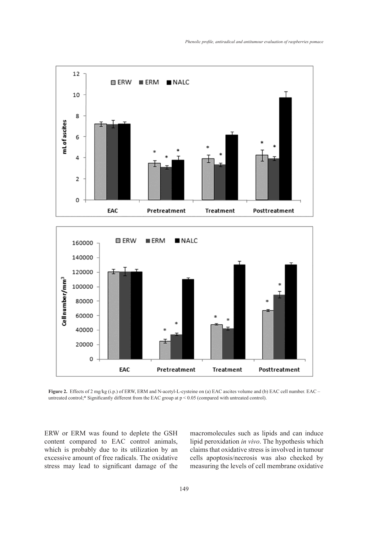

Figure 2. Effects of 2 mg/kg (i.p.) of ERW, ERM and N-acetyl-L-cysteine on (a) EAC ascites volume and (b) EAC cell number. EAC – untreated control;\* Significantly different from the EAC group at p < 0.05 (compared with untreated control).

 $\mathbb{E}_{\mathcal{A}}$  , since the EAC group at p  $\mathcal{A}$ 

ERW or ERM was found to deplete the GSH content compared to EAC control animals, which is probably due to its utilization by an excessive amount of free radicals. The oxidative stress may lead to significant damage of the

macromolecules such as lipids and can induce lipid peroxidation *in vivo*. The hypothesis which claims that oxidative stress is involved in tumour cells apoptosis/necrosis was also checked by measuring the levels of cell membrane oxidative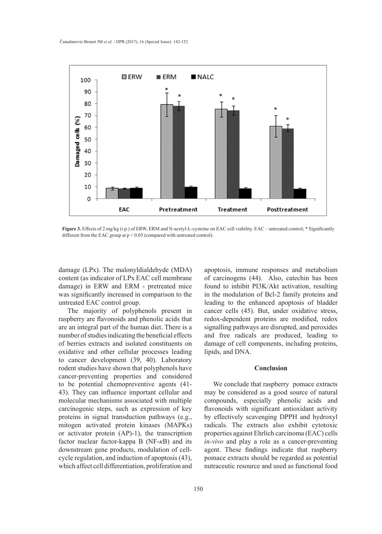

Figure 3. Effects of 2 mg/kg (i.p.) of ERW, ERM and N-acetyl-L-cysteine on EAC cell viability. EAC – untreated control; \* Significantly different from the EAC group at  $p \le 0.05$  (compared with untreated control).

damage (LPx). The malonyldialdehyde (MDA) content (as indicator of LPx EAC cell membrane damage) in ERW and ERM - pretreated mice was significantly increased in comparison to the untreated EAC control group.

The majority of polyphenols present in raspberry are flavonoids and phenolic acids that redox-dependent proteins are modified, red are an integral part of the human diet. There is a number of studies indicating the beneficial effects number of status indicating the beneficial effects and the tradicals are produced, idealing<br>of berries extracts and isolated constituents on damage of cell components, including protein oxidative and other cellular processes leading  $t_0$  cancer development  $(39, 40)$ . Laboratory rodent studies have shown that polyphenols have cancer-preventing properties and considered to be potential chemopreventive agents (41- 43). They can influence important cellular and molecular mechanisms associated with multiple carcinogenic steps, such as expression of key flavonoids with significant antioxidant activ proteins in signal transduction pathways (e.g., mitogen activated protein kinases (MAPKs) radicals. The extracts also exhibit cytoto: or activator protein (AP)-1), the transcription factor nuclear factor-kappa B (NF-*κ*B) and its *in-vivo* and play a role as a cancer-preventi downstream gene products, modulation of cellcycle regulation, and induction of apoptosis  $(43)$ , pomace extracts should be regarded as potentially which affect cell differentiation, proliferation and 43). They can influence important cellular and may be considered as a good source of natural

apoptosis, immune responses and metabolism of carcinogens (44). Also, catechin has been found to inhibit PI3K/Akt activation, resulting in the modulation of Bcl-2 family proteins and ntreated EAC control group. I also begins the enhanced apoptosis of bladder cancer cells (45). But, under oxidative stress, redox-dependent proteins are modified, redox signalling pathways are disrupted, and peroxides and free radicals are produced, leading to damage of cell components, including proteins, lipids, and DNA.

## **Conclusion**

We conclude that raspberry pomace extracts compounds, especially phenolic acids and flavonoids with significant antioxidant activity by effectively scavenging DPPH and hydroxyl radicals. The extracts also exhibit cytotoxic properties against Ehrlich carcinoma (EAC) cells *in-vivo* and play a role as a cancer-preventing agent. These findings indicate that raspberry pomace extracts should be regarded as potential nutraceutic resource and used as functional food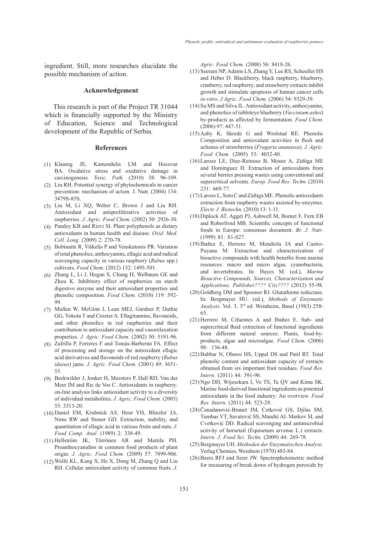ingredient. Still, more researches elucidate the possible mechanism of action.

#### **Acknowledgement**

This research is part of the Project TR 31044 which is financially supported by the Ministry of Education, Science and Technological development of the Republic of Serbia.

#### **References**

- Klaunig JE, Kamendulis LM and Hocevar (1) BA. Oxidative stress and oxidative damage in carcinogenesis. *Toxic. Path.* (2010) 38: 96-109.
- (2) Liu RH. Potential synergy of phytochemicals in cancer prevention: mechanism of action*.* J. Nutr. (2004) 134: 3479S-85S.
- (3) Liu M, Li XQ, Weber C, Brown J and Liu RH. Antioxidant and antiproliferative activities of raspberries. *J. Agric. Food Chem.* (2002) 50: 2926-30.
- Pandey KB and Rizvi SI. Plant polyphenols as dietary (4) antioxidants in human health and disease. *Oxid. Med. Cell. Long.* (2009) 2: 270-78.
- Bobinaitė R, Viškelis P and Venskutonis PR. Variation (5) of total phenolics, anthocyanins, ellagic acid and radical scavenging capacity in various raspberry (*Rubus* spp.) cultivars. *Food Chem.* (2012) 132: 1495-501.
- Zhang L, Li J, Hogan S, Chung H, Welbaum GE and (6) Zhou K. Inhibitory effect of raspberries on starch digestive enzyme and their antioxidant properties and phenolic composition. *Food Chem.* (2010) 119: 592- 99.
- (7) Mullen W, McGinn J, Lean MEJ, Gardner P, Duthie GG, Yokota T and Crozier A. Ellagitannins, flavonoids, and other phenolics in red raspberries and their contribution to antioxidant capacity and vasorelaxation properties. *J. Agric. Food Chem.* (2002) 50: 5191-96.
- Zafrilla P, Ferreres F and Tomás-Barberán FA. Effect (8) of processing and storage on the antioxidant ellagic acid derivatives and flavonoids of red raspberry (*Rubus idaeus*) jams. *J. Agric. Food Chem.* (2001) 49: 3651- 55.
- Beekwilder J, Jonker H, Meesters P, Hall RD, Van der (9) Meer IM and Ric de Vos C. Antioxidants in raspberry: on-line analysis links antioxidant activity to a diversity of individual metabolites. *J. Agric. Food Chem.* (2005) 53: 3313-20.
- (10) Daniel EM, Krubnick AS, Heur YH, Blinzler JA, Nims RW and Stoner GD. Extraction, stability, and quantitation of ellagic acid in various fruits and nuts. *J. Food Comp. Anal.* (1989) 2: 338-49.
- Hellström JK, Törrönen AR and Mattila PH. (11) Proanthocyanidins in common food products of plant origin. *J. Agric. Food Chem.* (2009) 57: 7899-906.
- Wolfe KL, Kang X, He X, Dong M, Zhang Q and Liu (12) RH. Cellular antioxidant activity of common fruits. *J.*

*Agric. Food Chem.* (2008) 56: 8418-26.

- (13) Seeram NP, Adams LS, Zhang Y, Lee RS, Scheuller HS and Heber D. Blackberry, black raspberry, blueberry, cranberry, red raspberry, and strawberry extracts inhibit growth and stimulate apoptosis of human cancer cells *in-vitro*. *J Agric. Food Chem.* (2006) 54: 9329-39.
- Su MS and Silva JL. Antioxidant activity, anthocyanins, (14) and phenolics of rabbiteye blueberry (*Vaccinium ashei*) by-products as affected by fermentation. *Food Chem.* (2006) 97: 447-51.
- $(15)$  Aaby K, Skrede G and Wrolstad RE. Phenolic Composition and antioxidant activities in flesh and achenes of strawberries (*Fragaria ananassa*). *J. Agric. Food Chem.* (2005) 53: 4032-40.
- Laroze LE, Díaz-Reinoso B, Moure A, Zúñiga ME (16) and Domínguez H. Extraction of antioxidants from several berries pressing wastes using conventional and supercritical solvents. *Europ. Food Res. Techn.* (2010) 231: 669-77.
- Laroze L, Soto C and Zúñiga ME. Phenolic antioxidants (17) extraction from raspberry wastes assisted by-enzymes. *Electr. J. Biotechn.* (2010) 13: 1-11.
- Diplock AT, Agget PJ, Ashwell M, Bornet F, Fern EB (18) and Roberfroid MB. Scientific concepts of functional foods in Europe: consensus document. *Br. J. Nutr*. (1999) 81: S1-S27.
- Ibañez E, Herrero M, Mendiola JA and Castro-(19) Puyana M. Extraction and characterization of bioactive compounds with health benefits from marine resources: macro and micro algae, cyanobacteria, and invertebrates. In: Hayes M. (ed.), *Marine Bioactive Compounds, Sources, Characterization and Applications. Publisher???? City????* (2012) 55-98.
- (20) Goldberg DM and Spooner RJ. Glutathione reductase. In: Bergmayer HU. (ed.), *Methods of Enzymatic Analysis*. Vol. 3, 3rd ed. Weinheim, Basel (1983) 258- 65.
- $(21)$  Herrero M, Cifuentes A and Ibañez E. Sub- and supercritical fluid extraction of functional ingredients from different natural sources: Plants, food-byproducts, algae and microalgae. *Food Chem.* (2006) 98: 136-48.
- (22) Babbar N, Oberoi HS, Uppal DS and Patil RT. Total phenolic content and antioxidant capacity of extracts obtained from six important fruit residues. *Food Res. Intern*. (2011) 44: 391-96.
- (23) Ngo DH, Wijesekara I, Vo TS, Ta QV and Kima SK. Marine food-derived functional ingredients as potential antioxidants in the food industry: An overview. *Food Res. Intern*. (2011) 44: 523-29.
- (24) Canadanović-Brunet JM, Cetković GS, Djilas SM, Tumbas VT, Savatović SS, Mandić AI. Markov SL and Cvetković DD. Radical scavenging and antimicrobial activity of horsetail (Equisetum arvense L.) extracts. *Intern. J. Food Sci. Techn.* (2009) 44: 269-78.
- (25) Bergmayer UH. Methoden der Enzymatischen Analyse. Verlag Chemies, Weinhem (1970) 483-84.
- (26) Beers RFJ and Sizer JW. Spectrophotometric method for measuring of break down of hydrogen peroxide by